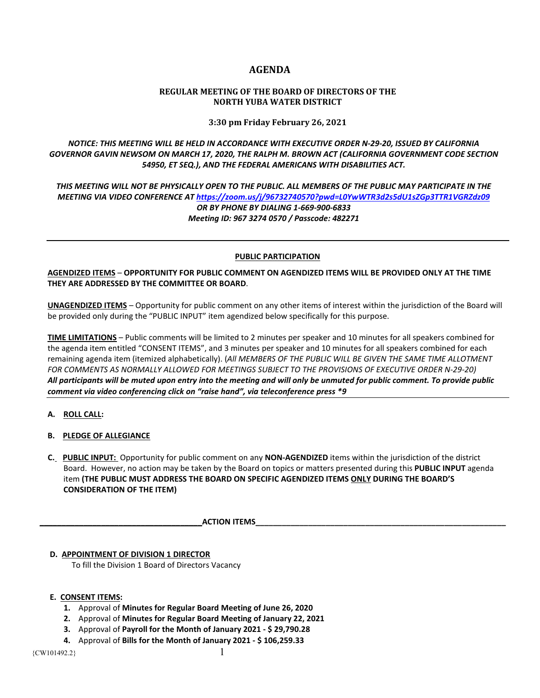# **AGENDA**

## **REGULAR MEETING OF THE BOARD OF DIRECTORS OF THE NORTH YUBA WATER DISTRICT**

**3:30 pm Friday February 26, 2021**

*NOTICE: THIS MEETING WILL BE HELD IN ACCORDANCE WITH EXECUTIVE ORDER N-29-20, ISSUED BY CALIFORNIA GOVERNOR GAVIN NEWSOM ON MARCH 17, 2020, THE RALPH M. BROWN ACT (CALIFORNIA GOVERNMENT CODE SECTION 54950, ET SEQ.), AND THE FEDERAL AMERICANS WITH DISABILITIES ACT.* 

*THIS MEETING WILL NOT BE PHYSICALLY OPEN TO THE PUBLIC. ALL MEMBERS OF THE PUBLIC MAY PARTICIPATE IN THE MEETING VIA VIDEO CONFERENCE AT<https://zoom.us/j/96732740570?pwd=L0YwWTR3d2s5dU1sZGp3TTR1VGRZdz09> OR BY PHONE BY DIALING 1-669-900-6833 Meeting ID: 967 3274 0570 / Passcode: 482271*

### **PUBLIC PARTICIPATION**

**AGENDIZED ITEMS** – **OPPORTUNITY FOR PUBLIC COMMENT ON AGENDIZED ITEMS WILL BE PROVIDED ONLY AT THE TIME THEY ARE ADDRESSED BY THE COMMITTEE OR BOARD**.

**UNAGENDIZED ITEMS** – Opportunity for public comment on any other items of interest within the jurisdiction of the Board will be provided only during the "PUBLIC INPUT" item agendized below specifically for this purpose.

**TIME LIMITATIONS** – Public comments will be limited to 2 minutes per speaker and 10 minutes for all speakers combined for the agenda item entitled "CONSENT ITEMS", and 3 minutes per speaker and 10 minutes for all speakers combined for each remaining agenda item (itemized alphabetically). (*All MEMBERS OF THE PUBLIC WILL BE GIVEN THE SAME TIME ALLOTMENT FOR COMMENTS AS NORMALLY ALLOWED FOR MEETINGS SUBJECT TO THE PROVISIONS OF EXECUTIVE ORDER N-29-20) All participants will be muted upon entry into the meeting and will only be unmuted for public comment. To provide public comment via video conferencing click on "raise hand", via teleconference press \*9*

- **A. ROLL CALL:**
- **B. PLEDGE OF ALLEGIANCE**
- **C. PUBLIC INPUT:** Opportunity for public comment on any **NON-AGENDIZED** items within the jurisdiction of the district Board. However, no action may be taken by the Board on topics or matters presented during this **PUBLIC INPUT** agenda item **(THE PUBLIC MUST ADDRESS THE BOARD ON SPECIFIC AGENDIZED ITEMS ONLY DURING THE BOARD'S CONSIDERATION OF THE ITEM)**

**ACTION ITEMS** 

 **D. APPOINTMENT OF DIVISION 1 DIRECTOR** To fill the Division 1 Board of Directors Vacancy

## **E. CONSENT ITEMS:**

- **1.** Approval of **Minutes for Regular Board Meeting of June 26, 2020**
- **2.** Approval of **Minutes for Regular Board Meeting of January 22, 2021**
- **3.** Approval of **Payroll for the Month of January 2021 - \$ 29,790.28**
- **4.** Approval of **Bills for the Month of January 2021 - \$ 106,259.33**